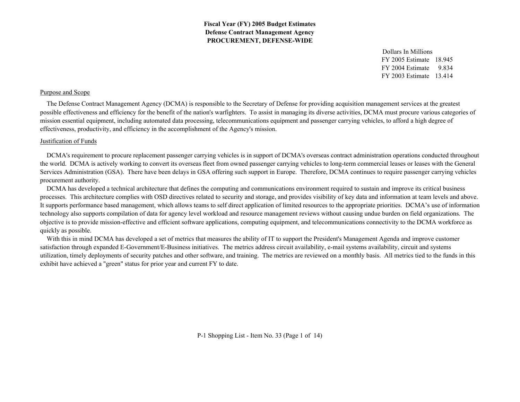> FY 2005 Estimate 18.945FY 2004 Estimate 9.834FY 2003 Estimate 13.414Dollars In Millions

## Purpose and Scope

 The Defense Contract Management Agency (DCMA) is responsible to the Secretary of Defense for providing acquisition management services at the greatest possible effectiveness and efficiency for the benefit of the nation's warfighters. To assist in managing its diverse activities, DCMA must procure various categories of mission essential equipment, including automated data processing, telecommunications equipment and passenger carrying vehicles, to afford a high degree of effectiveness, productivity, and efficiency in the accomplishment of the Agency's mission.

## Justification of Funds

 DCMA's requirement to procure replacement passenger carrying vehicles is in support of DCMA's overseas contract administration operations conducted throughout the world. DCMA is actively working to convert its overseas fleet from owned passenger carrying vehicles to long-term commercial leases or leases with the General Services Administration (GSA). There have been delays in GSA offering such support in Europe. Therefore, DCMA continues to require passenger carrying vehicles procurement authority.

 DCMA has developed a technical architecture that defines the computing and communications environment required to sustain and improve its critical business processes. This architecture complies with OSD directives related to security and storage, and provides visibility of key data and information at team levels and above. It supports performance based management, which allows teams to self direct application of limited resources to the appropriate priorities. DCMA's use of information technology also supports compilation of data for agency level workload and resource management reviews without causing undue burden on field organizations. The objective is to provide mission-effective and efficient software applications, computing equipment, and telecommunications connectivity to the DCMA workforce as quickly as possible.

 With this in mind DCMA has developed a set of metrics that measures the ability of IT to support the President's Management Agenda and improve customer satisfaction through expanded E-Government/E-Business initiatives. The metrics address circuit availability, e-mail systems availability, circuit and systems utilization, timely deployments of security patches and other software, and training. The metrics are reviewed on a monthly basis. All metrics tied to the funds in this exhibit have achieved a "green" status for prior year and current FY to date.

P-1 Shopping List - Item No. 33 (Page 1 of 14)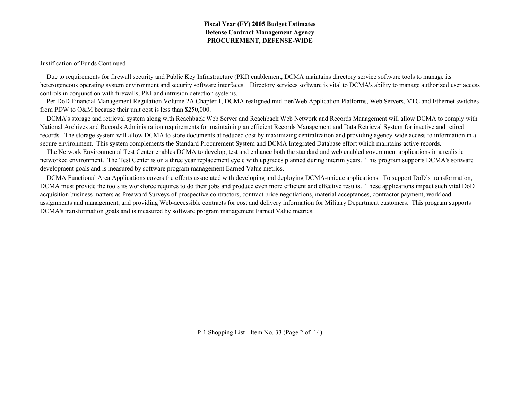#### Justification of Funds Continued

 Due to requirements for firewall security and Public Key Infrastructure (PKI) enablement, DCMA maintains directory service software tools to manage its heterogeneous operating system environment and security software interfaces. Directory services software is vital to DCMA's ability to manage authorized user access controls in conjunction with firewalls, PKI and intrusion detection systems.

 Per DoD Financial Management Regulation Volume 2A Chapter 1, DCMA realigned mid-tier/Web Application Platforms, Web Servers, VTC and Ethernet switches from PDW to O&M because their unit cost is less than \$250,000.

 DCMA's storage and retrieval system along with Reachback Web Server and Reachback Web Network and Records Management will allow DCMA to comply with National Archives and Records Administration requirements for maintaining an efficient Records Management and Data Retrieval System for inactive and retired records. The storage system will allow DCMA to store documents at reduced cost by maximizing centralization and providing agency-wide access to information in a secure environment. This system complements the Standard Procurement System and DCMA Integrated Database effort which maintains active records.

 The Network Environmental Test Center enables DCMA to develop, test and enhance both the standard and web enabled government applications in a realistic networked environment. The Test Center is on a three year replacement cycle with upgrades planned during interim years. This program supports DCMA's software development goals and is measured by software program management Earned Value metrics.

 DCMA Functional Area Applications covers the efforts associated with developing and deploying DCMA-unique applications. To support DoD's transformation, DCMA must provide the tools its workforce requires to do their jobs and produce even more efficient and effective results. These applications impact such vital DoD acquisition business matters as Preaward Surveys of prospective contractors, contract price negotiations, material acceptances, contractor payment, workload assignments and management, and providing Web-accessible contracts for cost and delivery information for Military Department customers. This program supports DCMA's transformation goals and is measured by software program management Earned Value metrics.

P-1 Shopping List - Item No. 33 (Page 2 of 14)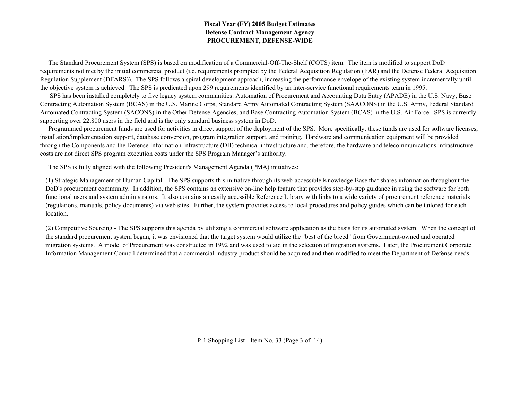The Standard Procurement System (SPS) is based on modification of a Commercial-Off-The-Shelf (COTS) item. The item is modified to support DoD requirements not met by the initial commercial product (i.e. requirements prompted by the Federal Acquisition Regulation (FAR) and the Defense Federal Acquisition Regulation Supplement (DFARS)). The SPS follows a spiral development approach, increasing the performance envelope of the existing system incrementally until the objective system is achieved. The SPS is predicated upon 299 requirements identified by an inter-service functional requirements team in 1995.

 SPS has been installed completely to five legacy system communities: Automation of Procurement and Accounting Data Entry (APADE) in the U.S. Navy, Base Contracting Automation System (BCAS) in the U.S. Marine Corps, Standard Army Automated Contracting System (SAACONS) in the U.S. Army, Federal Standard Automated Contracting System (SACONS) in the Other Defense Agencies, and Base Contracting Automation System (BCAS) in the U.S. Air Force. SPS is currently supporting over 22,800 users in the field and is the only standard business system in DoD.

 Programmed procurement funds are used for activities in direct support of the deployment of the SPS. More specifically, these funds are used for software licenses, installation/implementation support, database conversion, program integration support, and training. Hardware and communication equipment will be provided through the Components and the Defense Information Infrastructure (DII) technical infrastructure and, therefore, the hardware and telecommunications infrastructure costs are not direct SPS program execution costs under the SPS Program Manager's authority.

The SPS is fully aligned with the following President's Management Agenda (PMA) initiatives:

(1) Strategic Management of Human Capital - The SPS supports this initiative through its web-accessible Knowledge Base that shares information throughout the DoD's procurement community. In addition, the SPS contains an extensive on-line help feature that provides step-by-step guidance in using the software for both functional users and system administrators. It also contains an easily accessible Reference Library with links to a wide variety of procurement reference materials (regulations, manuals, policy documents) via web sites. Further, the system provides access to local procedures and policy guides which can be tailored for each location.

(2) Competitive Sourcing - The SPS supports this agenda by utilizing a commercial software application as the basis for its automated system. When the concept of the standard procurement system began, it was envisioned that the target system would utilize the "best of the breed" from Government-owned and operated migration systems. A model of Procurement was constructed in 1992 and was used to aid in the selection of migration systems. Later, the Procurement Corporate Information Management Council determined that a commercial industry product should be acquired and then modified to meet the Department of Defense needs.

P-1 Shopping List - Item No. 33 (Page 3 of 14)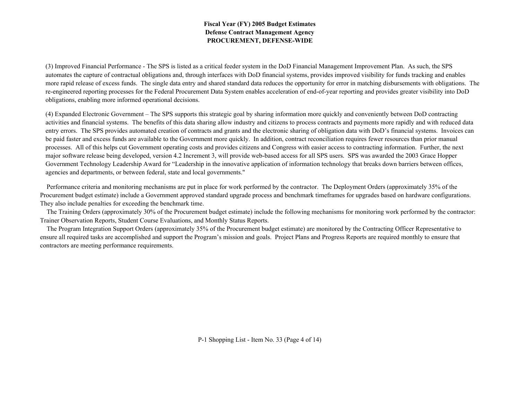(3) Improved Financial Performance - The SPS is listed as a critical feeder system in the DoD Financial Management Improvement Plan. As such, the SPS automates the capture of contractual obligations and, through interfaces with DoD financial systems, provides improved visibility for funds tracking and enables more rapid release of excess funds. The single data entry and shared standard data reduces the opportunity for error in matching disbursements with obligations. The re-engineered reporting processes for the Federal Procurement Data System enables acceleration of end-of-year reporting and provides greater visibility into DoD obligations, enabling more informed operational decisions.

(4) Expanded Electronic Government – The SPS supports this strategic goal by sharing information more quickly and conveniently between DoD contracting activities and financial systems. The benefits of this data sharing allow industry and citizens to process contracts and payments more rapidly and with reduced data entry errors. The SPS provides automated creation of contracts and grants and the electronic sharing of obligation data with DoD's financial systems. Invoices can be paid faster and excess funds are available to the Government more quickly. In addition, contract reconciliation requires fewer resources than prior manual processes. All of this helps cut Government operating costs and provides citizens and Congress with easier access to contracting information. Further, the next major software release being developed, version 4.2 Increment 3, will provide web-based access for all SPS users. SPS was awarded the 2003 Grace Hopper Government Technology Leadership Award for "Leadership in the innovative application of information technology that breaks down barriers between offices, agencies and departments, or between federal, state and local governments."

 Performance criteria and monitoring mechanisms are put in place for work performed by the contractor. The Deployment Orders (approximately 35% of the Procurement budget estimate) include a Government approved standard upgrade process and benchmark timeframes for upgrades based on hardware configurations. They also include penalties for exceeding the benchmark time.

 The Training Orders (approximately 30% of the Procurement budget estimate) include the following mechanisms for monitoring work performed by the contractor: Trainer Observation Reports, Student Course Evaluations, and Monthly Status Reports.

 The Program Integration Support Orders (approximately 35% of the Procurement budget estimate) are monitored by the Contracting Officer Representative to ensure all required tasks are accomplished and support the Program's mission and goals. Project Plans and Progress Reports are required monthly to ensure that contractors are meeting performance requirements.

P-1 Shopping List - Item No. 33 (Page 4 of 14)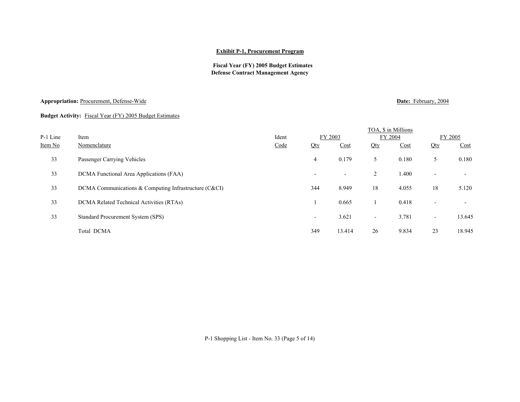#### **Exhibit P-1, Procurement Program**

## **Fiscal Year (FY) 2005 Budget Estimates Defense Contract Management Agency**

## **Appropriation:** Procurement, Defense-Wide **Date:** *Procurement*, Defense-Wide **Date: Procurement**, Defense-Wide

## **Budget Activity:** Fiscal Year (FY) 2005 Budget Estimates

|          |                                                       |       |                          |                          |                          | TOA, \$ in Millions |                          |                          |
|----------|-------------------------------------------------------|-------|--------------------------|--------------------------|--------------------------|---------------------|--------------------------|--------------------------|
| P-1 Line | Item                                                  | Ident |                          | FY 2003                  |                          | FY 2004             | FY 2005                  |                          |
| Item No  | Nomenclature                                          | Code  | Qty                      | Cost                     | Qty                      | Cost                | Qty                      | Cost                     |
| 33       | Passenger Carrying Vehicles                           |       | $\overline{4}$           | 0.179                    | 5                        | 0.180               | 5                        | 0.180                    |
| 33       | DCMA Functional Area Applications (FAA)               |       | $\overline{\phantom{0}}$ | $\overline{\phantom{a}}$ | 2                        | 1.400               | $\overline{\phantom{0}}$ | $\overline{\phantom{a}}$ |
| 33       | DCMA Communications & Computing Infrastructure (C&CI) |       | 344                      | 8.949                    | 18                       | 4.055               | 18                       | 5.120                    |
| 33       | DCMA Related Technical Activities (RTAs)              |       |                          | 0.665                    |                          | 0.418               | $\overline{\phantom{a}}$ |                          |
| 33       | Standard Procurement System (SPS)                     |       | $\overline{\phantom{a}}$ | 3.621                    | $\overline{\phantom{a}}$ | 3.781               | $\blacksquare$           | 13.645                   |
|          | Total DCMA                                            |       | 349                      | 13.414                   | 26                       | 9.834               | 23                       | 18.945                   |

P-1 Shopping List - Item No. 33 (Page 5 of 14)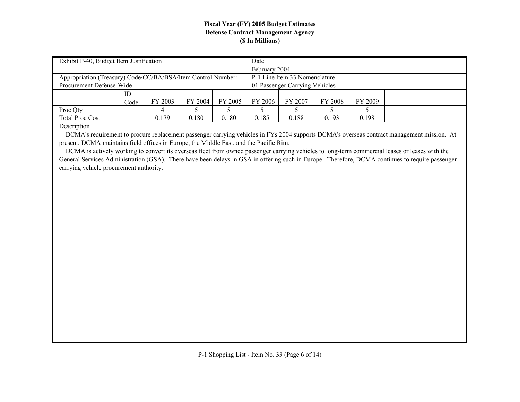| Exhibit P-40, Budget Item Justification                      |      |         |         |         | Date                           |         |         |         |  |  |  |
|--------------------------------------------------------------|------|---------|---------|---------|--------------------------------|---------|---------|---------|--|--|--|
|                                                              |      |         |         |         | February 2004                  |         |         |         |  |  |  |
| Appropriation (Treasury) Code/CC/BA/BSA/Item Control Number: |      |         |         |         | P-1 Line Item 33 Nomenclature  |         |         |         |  |  |  |
| Procurement Defense-Wide                                     |      |         |         |         | 01 Passenger Carrying Vehicles |         |         |         |  |  |  |
|                                                              | ID   |         |         |         |                                |         |         |         |  |  |  |
|                                                              | Code | FY 2003 | FY 2004 | FY 2005 | FY 2006                        | FY 2007 | FY 2008 | FY 2009 |  |  |  |
| Proc Qty                                                     |      |         |         |         |                                |         |         |         |  |  |  |
| <b>Total Proc Cost</b>                                       |      | 0.179   | 0.180   | 0.180   | 0.185                          | 0.188   | 0.193   | 0.198   |  |  |  |
| $D_{\text{reco}}$                                            |      |         |         |         |                                |         |         |         |  |  |  |

Description

 DCMA's requirement to procure replacement passenger carrying vehicles in FYs 2004 supports DCMA's overseas contract management mission. At present, DCMA maintains field offices in Europe, the Middle East, and the Pacific Rim.

 DCMA is actively working to convert its overseas fleet from owned passenger carrying vehicles to long-term commercial leases or leases with the General Services Administration (GSA). There have been delays in GSA in offering such in Europe. Therefore, DCMA continues to require passenger carrying vehicle procurement authority.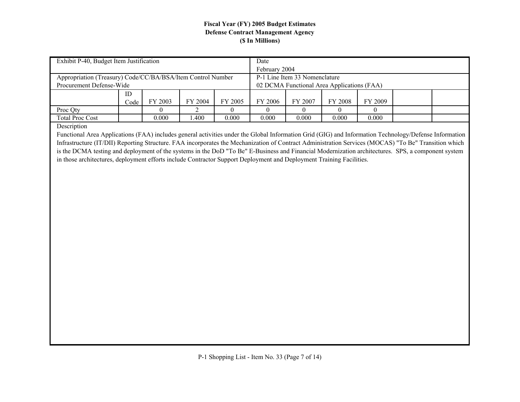| Exhibit P-40, Budget Item Justification                     |      |         |         |         | Date                                       |         |         |         |  |  |  |
|-------------------------------------------------------------|------|---------|---------|---------|--------------------------------------------|---------|---------|---------|--|--|--|
|                                                             |      |         |         |         | February 2004                              |         |         |         |  |  |  |
| Appropriation (Treasury) Code/CC/BA/BSA/Item Control Number |      |         |         |         | P-1 Line Item 33 Nomenclature              |         |         |         |  |  |  |
| Procurement Defense-Wide                                    |      |         |         |         | 02 DCMA Functional Area Applications (FAA) |         |         |         |  |  |  |
|                                                             | ID   |         |         |         |                                            |         |         |         |  |  |  |
|                                                             | Code | FY 2003 | FY 2004 | FY 2005 | FY 2006                                    | FY 2007 | FY 2008 | FY 2009 |  |  |  |
| Proc Qty                                                    |      |         |         |         |                                            |         |         |         |  |  |  |
| <b>Total Proc Cost</b>                                      |      | 0.000   | .400    | 0.000   | 0.000                                      | 0.000   | 0.000   | 0.000   |  |  |  |
| $\mathbf{r}$ $\mathbf{r}$ $\mathbf{r}$                      |      |         |         |         |                                            |         |         |         |  |  |  |

Description

Functional Area Applications (FAA) includes general activities under the Global Information Grid (GIG) and Information Technology/Defense Information Infrastructure (IT/DII) Reporting Structure. FAA incorporates the Mechanization of Contract Administration Services (MOCAS) "To Be" Transition which is the DCMA testing and deployment of the systems in the DoD "To Be" E-Business and Financial Modernization architectures. SPS, a component system in those architectures, deployment efforts include Contractor Support Deployment and Deployment Training Facilities.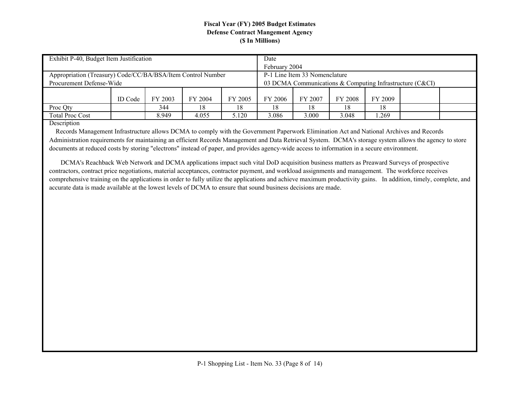| Exhibit P-40, Budget Item Justification                     |         |         |                                                          | Date                          |         |         |         |  |  |  |
|-------------------------------------------------------------|---------|---------|----------------------------------------------------------|-------------------------------|---------|---------|---------|--|--|--|
|                                                             |         |         |                                                          | February 2004                 |         |         |         |  |  |  |
| Appropriation (Treasury) Code/CC/BA/BSA/Item Control Number |         |         |                                                          | P-1 Line Item 33 Nomenclature |         |         |         |  |  |  |
| Procurement Defense-Wide                                    |         |         | 03 DCMA Communications & Computing Infrastructure (C&CI) |                               |         |         |         |  |  |  |
|                                                             |         |         |                                                          |                               |         |         |         |  |  |  |
| <b>ID</b> Code                                              | FY 2003 | FY 2004 | FY 2005                                                  | FY 2006                       | FY 2007 | FY 2008 | FY 2009 |  |  |  |
| Proc Qty                                                    | 344     | 8       | 18.                                                      | 18                            | 18      | 18      | 18      |  |  |  |
| <b>Total Proc Cost</b>                                      | 8.949   | 4.055   | 5.120                                                    | 3.086                         | 3.000   | 3.048   | .269    |  |  |  |

Description

 Records Management Infrastructure allows DCMA to comply with the Government Paperwork Elimination Act and National Archives and Records Administration requirements for maintaining an efficient Records Management and Data Retrieval System. DCMA's storage system allows the agency to store documents at reduced costs by storing "electrons" instead of paper, and provides agency-wide access to information in a secure environment.

 DCMA's Reachback Web Network and DCMA applications impact such vital DoD acquisition business matters as Preaward Surveys of prospective contractors, contract price negotiations, material acceptances, contractor payment, and workload assignments and management. The workforce receives comprehensive training on the applications in order to fully utilize the applications and achieve maximum productivity gains. In addition, timely, complete, and accurate data is made available at the lowest levels of DCMA to ensure that sound business decisions are made.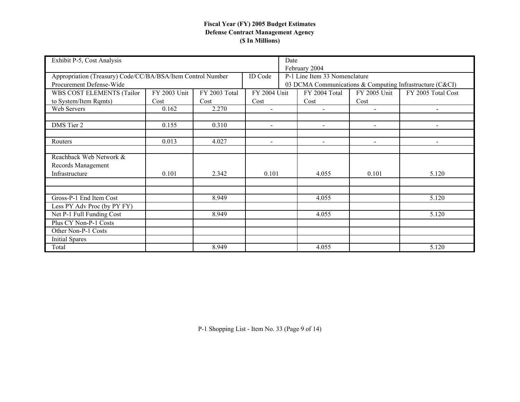| Exhibit P-5, Cost Analysis                                  |              |               |                | Date                                                     |                               |                |                          |  |  |  |
|-------------------------------------------------------------|--------------|---------------|----------------|----------------------------------------------------------|-------------------------------|----------------|--------------------------|--|--|--|
|                                                             |              |               |                |                                                          | February 2004                 |                |                          |  |  |  |
| Appropriation (Treasury) Code/CC/BA/BSA/Item Control Number |              |               | <b>ID</b> Code |                                                          | P-1 Line Item 33 Nomenclature |                |                          |  |  |  |
| Procurement Defense-Wide                                    |              |               |                | 03 DCMA Communications & Computing Infrastructure (C&CI) |                               |                |                          |  |  |  |
| WBS COST ELEMENTS (Tailor                                   | FY 2003 Unit | FY 2003 Total | FY 2004 Unit   |                                                          | FY 2004 Total                 | FY 2005 Unit   | FY 2005 Total Cost       |  |  |  |
| to System/Item Rqmts)                                       | Cost<br>Cost |               |                |                                                          | Cost                          | Cost           |                          |  |  |  |
| Web Servers                                                 | 0.162        | 2.270         | $\blacksquare$ |                                                          | $\blacksquare$                | $\overline{a}$ | $\overline{\phantom{a}}$ |  |  |  |
|                                                             |              |               |                |                                                          |                               |                |                          |  |  |  |
| DMS Tier 2                                                  | 0.155        | 0.310         | $\overline{a}$ |                                                          | $\sim$                        | $\sim$         | $\overline{\phantom{a}}$ |  |  |  |
|                                                             |              |               |                |                                                          |                               |                |                          |  |  |  |
| Routers                                                     | 0.013        | 4.027         |                |                                                          |                               |                |                          |  |  |  |
|                                                             |              |               |                |                                                          |                               |                |                          |  |  |  |
| Reachback Web Network &                                     |              |               |                |                                                          |                               |                |                          |  |  |  |
| Records Management                                          |              |               |                |                                                          |                               |                |                          |  |  |  |
| Infrastructure                                              | 0.101        | 2.342         | 0.101          |                                                          | 4.055                         | 0.101          | 5.120                    |  |  |  |
|                                                             |              |               |                |                                                          |                               |                |                          |  |  |  |
|                                                             |              |               |                |                                                          |                               |                |                          |  |  |  |
| Gross-P-1 End Item Cost                                     |              | 8.949         |                |                                                          | 4.055                         |                | 5.120                    |  |  |  |
| Less PY Adv Proc (by PY FY)                                 |              |               |                |                                                          |                               |                |                          |  |  |  |
| Net P-1 Full Funding Cost                                   |              | 8.949         |                |                                                          | 4.055                         |                | 5.120                    |  |  |  |
| Plus CY Non-P-1 Costs                                       |              |               |                |                                                          |                               |                |                          |  |  |  |
| Other Non-P-1 Costs                                         |              |               |                |                                                          |                               |                |                          |  |  |  |
| Initial Spares                                              |              |               |                |                                                          |                               |                |                          |  |  |  |
| Total                                                       |              | 8.949         |                |                                                          | 4.055                         |                | 5.120                    |  |  |  |

P-1 Shopping List - Item No. 33 (Page 9 of 14)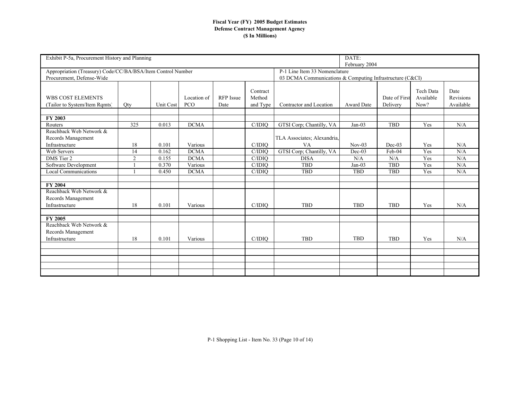| Exhibit P-5a, Procurement History and Planning                                           |                |           |                    | DATE:<br>February 2004   |                                |                                                                                           |                   |                           |                                |                                |  |  |
|------------------------------------------------------------------------------------------|----------------|-----------|--------------------|--------------------------|--------------------------------|-------------------------------------------------------------------------------------------|-------------------|---------------------------|--------------------------------|--------------------------------|--|--|
| Appropriation (Treasury) Code/CC/BA/BSA/Item Control Number<br>Procurement, Defense-Wide |                |           |                    |                          |                                | P-1 Line Item 33 Nomenclature<br>03 DCMA Communications & Computing Infrastructure (C&CI) |                   |                           |                                |                                |  |  |
| <b>WBS COST ELEMENTS</b><br>(Tailor to System/Item Rqmts)                                | Qty            | Unit Cost | Location of<br>PCO | <b>RFP</b> Issue<br>Date | Contract<br>Method<br>and Type | Contractor and Location                                                                   | <b>Award Date</b> | Date of First<br>Delivery | Tech Data<br>Available<br>Now? | Date<br>Revisions<br>Available |  |  |
| FY 2003                                                                                  |                |           |                    |                          |                                |                                                                                           |                   |                           |                                |                                |  |  |
| Routers                                                                                  | 325            | 0.013     | <b>DCMA</b>        |                          | C/IDIO                         | GTSI Corp; Chantilly, VA                                                                  | $Jan-03$          | <b>TBD</b>                | Yes                            | N/A                            |  |  |
| Reachback Web Network &<br>Records Management                                            |                |           |                    |                          |                                | TLA Associates; Alexandria,                                                               |                   |                           |                                |                                |  |  |
| Infrastructure                                                                           | 18             | 0.101     | Various            |                          | C/IDIO                         | VA                                                                                        | $Nov-03$          | $Dec-03$                  | Yes                            | N/A                            |  |  |
| <b>Web Servers</b>                                                                       | 14             | 0.162     | <b>DCMA</b>        |                          | C/IDIO                         | GTSI Corp; Chantilly, VA                                                                  | $Dec-03$          | Feb-04                    | Yes                            | N/A                            |  |  |
| DMS Tier 2                                                                               | $\overline{2}$ | 0.155     | <b>DCMA</b>        |                          | C/IDIO                         | <b>DISA</b>                                                                               | N/A               | N/A                       | Yes                            | N/A                            |  |  |
| Software Development                                                                     |                | 0.370     | Various            |                          | C/IDIO                         | <b>TBD</b>                                                                                | $Jan-03$          | <b>TBD</b>                | Yes                            | N/A                            |  |  |
| <b>Local Communications</b>                                                              |                | 0.450     | <b>DCMA</b>        |                          | C/IDIO                         | <b>TBD</b>                                                                                | <b>TBD</b>        | <b>TBD</b>                | Yes                            | N/A                            |  |  |
|                                                                                          |                |           |                    |                          |                                |                                                                                           |                   |                           |                                |                                |  |  |
| <b>FY 2004</b>                                                                           |                |           |                    |                          |                                |                                                                                           |                   |                           |                                |                                |  |  |
| Reachback Web Network &                                                                  |                |           |                    |                          |                                |                                                                                           |                   |                           |                                |                                |  |  |
| Records Management                                                                       |                |           |                    |                          |                                |                                                                                           |                   |                           |                                |                                |  |  |
| Infrastructure                                                                           | 18             | 0.101     | Various            |                          | C/IDIO                         | <b>TBD</b>                                                                                | <b>TBD</b>        | <b>TBD</b>                | Yes                            | N/A                            |  |  |
| FY 2005                                                                                  |                |           |                    |                          |                                |                                                                                           |                   |                           |                                |                                |  |  |
| Reachback Web Network &                                                                  |                |           |                    |                          |                                |                                                                                           |                   |                           |                                |                                |  |  |
| Records Management                                                                       |                |           |                    |                          |                                |                                                                                           |                   |                           |                                |                                |  |  |
| Infrastructure                                                                           | 18             | 0.101     | Various            |                          | C/IDIO                         | <b>TBD</b>                                                                                | <b>TBD</b>        | <b>TBD</b>                | Yes                            | N/A                            |  |  |
|                                                                                          |                |           |                    |                          |                                |                                                                                           |                   |                           |                                |                                |  |  |
|                                                                                          |                |           |                    |                          |                                |                                                                                           |                   |                           |                                |                                |  |  |
|                                                                                          |                |           |                    |                          |                                |                                                                                           |                   |                           |                                |                                |  |  |
|                                                                                          |                |           |                    |                          |                                |                                                                                           |                   |                           |                                |                                |  |  |
|                                                                                          |                |           |                    |                          |                                |                                                                                           |                   |                           |                                |                                |  |  |
|                                                                                          |                |           |                    |                          |                                |                                                                                           |                   |                           |                                |                                |  |  |

P-1 Shopping List - Item No. 33 (Page 10 of 14)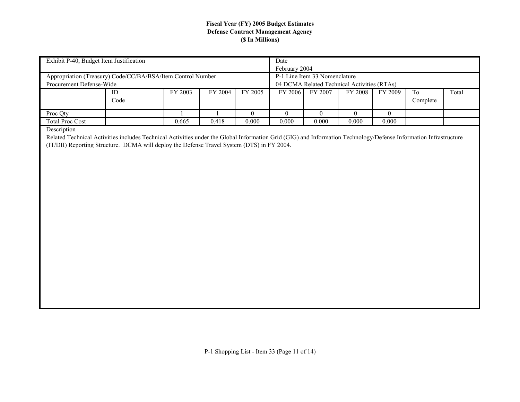| Exhibit P-40, Budget Item Justification                                                                                                                          |                           |         |         |                | Date                                        |                               |              |                |                |       |  |  |  |
|------------------------------------------------------------------------------------------------------------------------------------------------------------------|---------------------------|---------|---------|----------------|---------------------------------------------|-------------------------------|--------------|----------------|----------------|-------|--|--|--|
|                                                                                                                                                                  |                           |         |         |                | February 2004                               |                               |              |                |                |       |  |  |  |
| Appropriation (Treasury) Code/CC/BA/BSA/Item Control Number                                                                                                      |                           |         |         |                |                                             | P-1 Line Item 33 Nomenclature |              |                |                |       |  |  |  |
| Procurement Defense-Wide                                                                                                                                         |                           |         |         |                | 04 DCMA Related Technical Activities (RTAs) |                               |              |                |                |       |  |  |  |
|                                                                                                                                                                  | $\mathop{\rm ID}$<br>Code | FY 2003 | FY 2004 | FY 2005        | FY 2006                                     | FY 2007                       | FY 2008      | FY 2009        | To<br>Complete | Total |  |  |  |
| Proc Qty                                                                                                                                                         |                           |         |         | $\overline{0}$ | $\overline{0}$                              | $\overline{0}$                | $\mathbf{0}$ | $\overline{0}$ |                |       |  |  |  |
| <b>Total Proc Cost</b>                                                                                                                                           |                           | 0.665   | 0.418   | 0.000          | 0.000                                       | 0.000                         | 0.000        | 0.000          |                |       |  |  |  |
| Description                                                                                                                                                      |                           |         |         |                |                                             |                               |              |                |                |       |  |  |  |
| Related Technical Activities includes Technical Activities under the Global Information Grid (GIG) and Information Technology/Defense Information Infrastructure |                           |         |         |                |                                             |                               |              |                |                |       |  |  |  |
| (IT/DII) Reporting Structure. DCMA will deploy the Defense Travel System (DTS) in FY 2004.                                                                       |                           |         |         |                |                                             |                               |              |                |                |       |  |  |  |
|                                                                                                                                                                  |                           |         |         |                |                                             |                               |              |                |                |       |  |  |  |
|                                                                                                                                                                  |                           |         |         |                |                                             |                               |              |                |                |       |  |  |  |
|                                                                                                                                                                  |                           |         |         |                |                                             |                               |              |                |                |       |  |  |  |
|                                                                                                                                                                  |                           |         |         |                |                                             |                               |              |                |                |       |  |  |  |
|                                                                                                                                                                  |                           |         |         |                |                                             |                               |              |                |                |       |  |  |  |
|                                                                                                                                                                  |                           |         |         |                |                                             |                               |              |                |                |       |  |  |  |
|                                                                                                                                                                  |                           |         |         |                |                                             |                               |              |                |                |       |  |  |  |
|                                                                                                                                                                  |                           |         |         |                |                                             |                               |              |                |                |       |  |  |  |
|                                                                                                                                                                  |                           |         |         |                |                                             |                               |              |                |                |       |  |  |  |
|                                                                                                                                                                  |                           |         |         |                |                                             |                               |              |                |                |       |  |  |  |
|                                                                                                                                                                  |                           |         |         |                |                                             |                               |              |                |                |       |  |  |  |
|                                                                                                                                                                  |                           |         |         |                |                                             |                               |              |                |                |       |  |  |  |
|                                                                                                                                                                  |                           |         |         |                |                                             |                               |              |                |                |       |  |  |  |
|                                                                                                                                                                  |                           |         |         |                |                                             |                               |              |                |                |       |  |  |  |
|                                                                                                                                                                  |                           |         |         |                |                                             |                               |              |                |                |       |  |  |  |
|                                                                                                                                                                  |                           |         |         |                |                                             |                               |              |                |                |       |  |  |  |
|                                                                                                                                                                  |                           |         |         |                |                                             |                               |              |                |                |       |  |  |  |
|                                                                                                                                                                  |                           |         |         |                |                                             |                               |              |                |                |       |  |  |  |
|                                                                                                                                                                  |                           |         |         |                |                                             |                               |              |                |                |       |  |  |  |
|                                                                                                                                                                  |                           |         |         |                |                                             |                               |              |                |                |       |  |  |  |
|                                                                                                                                                                  |                           |         |         |                |                                             |                               |              |                |                |       |  |  |  |
|                                                                                                                                                                  |                           |         |         |                |                                             |                               |              |                |                |       |  |  |  |
|                                                                                                                                                                  |                           |         |         |                |                                             |                               |              |                |                |       |  |  |  |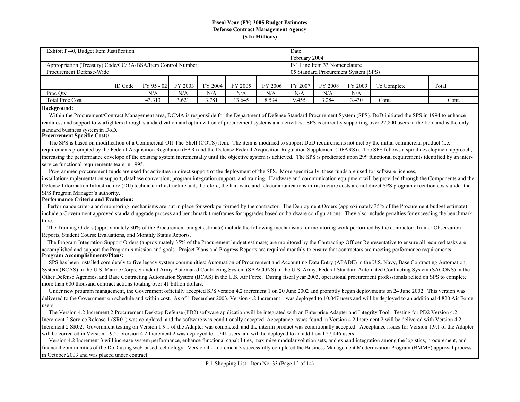| Exhibit P-40, Budget Item Justification                      |         |              |         |                                      |         |         | Date          |         |         |             |       |  |  |
|--------------------------------------------------------------|---------|--------------|---------|--------------------------------------|---------|---------|---------------|---------|---------|-------------|-------|--|--|
|                                                              |         |              |         |                                      |         |         | February 2004 |         |         |             |       |  |  |
| Appropriation (Treasury) Code/CC/BA/BSA/Item Control Number: |         |              |         | P-1 Line Item 33 Nomenclature        |         |         |               |         |         |             |       |  |  |
| Procurement Defense-Wide                                     |         |              |         | 05 Standard Procurement System (SPS) |         |         |               |         |         |             |       |  |  |
|                                                              |         |              |         |                                      |         |         |               |         |         |             |       |  |  |
|                                                              | ID Code | $FY$ 95 - 02 | FY 2003 | FY 2004                              | FY 2005 | FY 2006 | FY 2007       | FY 2008 | FY 2009 | To Complete | Total |  |  |
| Proc Qty                                                     |         | N/A          | N/A     | N/A                                  | N/A     | N/A     | N/A           |         |         |             |       |  |  |
| <b>Total Proc Cost</b>                                       |         | 43.313       | 3.621   | 8.594                                | 9.455   | 3.284   | 3.430         | Cont.   | Cont.   |             |       |  |  |

#### **Background:**

Within the Procurement/Contract Management area, DCMA is responsible for the Department of Defense Standard Procurement System (SPS). DoD initiated the SPS in 1994 to enhance readiness and support to warfighters through standardization and optimization of procurement systems and activities. SPS is currently supporting over 22,800 users in the field and is the only standard business system in DoD.

#### **Procurement Specific Costs:**

 The SPS is based on modification of a Commercial-Off-The-Shelf (COTS) item. The item is modified to support DoD requirements not met by the initial commercial product (i.e. requirements prompted by the Federal Acquisition Regulation (FAR) and the Defense Federal Acquisition Regulation Supplement (DFARS)). The SPS follows a spiral development approach, increasing the performance envelope of the existing system incrementally until the objective system is achieved. The SPS is predicated upon 299 functional requirements identified by an interservice functional requirements team in 1995.

Programmed procurement funds are used for activities in direct support of the deployment of the SPS. More specifically, these funds are used for software licenses,

installation/implementation support, database conversion, program integration support, and training. Hardware and communication equipment will be provided through the Components and the Defense Information Infrastructure (DII) technical infrastructure and, therefore, the hardware and telecommunications infrastructure costs are not direct SPS program execution costs under the SPS Program Manager's authority.

#### **Performance Criteria and Evaluation:**

 Performance criteria and monitoring mechanisms are put in place for work performed by the contractor. The Deployment Orders (approximately 35% of the Procurement budget estimate) include a Government approved standard upgrade process and benchmark timeframes for upgrades based on hardware configurations. They also include penalties for exceeding the benchmark ime.

 The Training Orders (approximately 30% of the Procurement budget estimate) include the following mechanisms for monitoring work performed by the contractor: Trainer Observation Reports, Student Course Evaluations, and Monthly Status Reports.

**Program Accomplishments/Plans:** The Program Integration Support Orders (approximately 35% of the Procurement budget estimate) are monitored by the Contracting Officer Representative to ensure all required tasks are accomplished and support the Program's mission and goals. Project Plans and Progress Reports are required monthly to ensure that contractors are meeting performance requirements.

SPS has been installed completely to five legacy system communities: Automation of Procurement and Accounting Data Entry (APADE) in the U.S. Navy, Base Contracting Automation System (BCAS) in the U.S. Marine Corps, Standard Army Automated Contracting System (SAACONS) in the U.S. Army, Federal Standard Automated Contracting System (SACONS) in the Other Defense Agencies, and Base Contracting Automation System (BCAS) in the U.S. Air Force. During fiscal year 2003, operational procurement professionals relied on SPS to complete more than 600 thousand contract actions totaling over 41 billion dollars.

 Under new program management, the Government officially accepted SPS version 4.2 increment 1 on 20 June 2002 and promptly began deployments on 24 June 2002. This version was delivered to the Government on schedule and within cost. As of 1 December 2003, Version 4.2 Increment 1 was deployed to 10,047 users and will be deployed to an additional 4,820 Air Force users.

 The Version 4.2 Increment 2 Procurement Desktop Defense (PD2) software application will be integrated with an Enterprise Adapter and Integrity Tool. Testing for PD2 Version 4.2 Increment 2 Service Release 1 (SR01) was completed, and the software was conditionally accepted. Acceptance issues found in Version 4.2 Increment 2 will be delivered with Version 4.2 Increment 2 SR02. Government testing on Version 1.9.1 of the Adapter was completed, and the interim product was conditionally accepted. Acceptance issues for Version 1.9.1 of the Adapter will be corrected in Version 1.9.2. Version 4.2 Increment 2 was deployed to 1,741 users and will be deployed to an additional 27,446 users.

 Version 4.2 Increment 3 will increase system performance, enhance functional capabilities, maximize modular solution sets, and expand integration among the logistics, procurement, and financial communities of the DoD using web-based technology. Version 4.2 Increment 3 successfully completed the Business Management Modernization Program (BMMP) approval process in October 2003 and was placed under contract.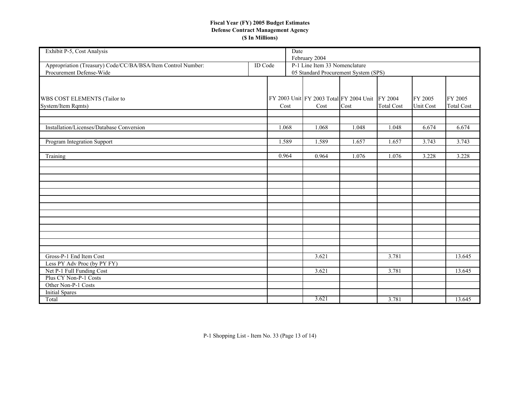| Exhibit P-5, Cost Analysis                                                               |                | Date  | February 2004                                                         |       |                   |           |                   |
|------------------------------------------------------------------------------------------|----------------|-------|-----------------------------------------------------------------------|-------|-------------------|-----------|-------------------|
| Appropriation (Treasury) Code/CC/BA/BSA/Item Control Number:<br>Procurement Defense-Wide | <b>ID</b> Code |       | P-1 Line Item 33 Nomenclature<br>05 Standard Procurement System (SPS) |       |                   |           |                   |
|                                                                                          |                |       |                                                                       |       |                   |           |                   |
| WBS COST ELEMENTS (Tailor to                                                             |                |       | FY 2003 Unit FY 2003 Total FY 2004 Unit FY 2004                       |       |                   | FY 2005   | FY 2005           |
| System/Item Rqmts)                                                                       |                | Cost  | Cost                                                                  | Cost  | <b>Total Cost</b> | Unit Cost | <b>Total Cost</b> |
| Installation/Licenses/Database Conversion                                                |                | 1.068 | 1.068                                                                 | 1.048 | 1.048             | 6.674     | 6.674             |
|                                                                                          |                |       |                                                                       |       |                   |           |                   |
| Program Integration Support                                                              |                | 1.589 | 1.589                                                                 | 1.657 | 1.657             | 3.743     | 3.743             |
| Training                                                                                 |                | 0.964 | 0.964                                                                 | 1.076 | 1.076             | 3.228     | 3.228             |
|                                                                                          |                |       |                                                                       |       |                   |           |                   |
|                                                                                          |                |       |                                                                       |       |                   |           |                   |
|                                                                                          |                |       |                                                                       |       |                   |           |                   |
|                                                                                          |                |       |                                                                       |       |                   |           |                   |
|                                                                                          |                |       |                                                                       |       |                   |           |                   |
|                                                                                          |                |       |                                                                       |       |                   |           |                   |
|                                                                                          |                |       |                                                                       |       |                   |           |                   |
|                                                                                          |                |       |                                                                       |       |                   |           |                   |
|                                                                                          |                |       |                                                                       |       |                   |           |                   |
|                                                                                          |                |       |                                                                       |       |                   |           |                   |
| Gross-P-1 End Item Cost                                                                  |                |       |                                                                       |       |                   |           |                   |
| Less PY Adv Proc (by PY FY)                                                              |                |       | 3.621                                                                 |       | 3.781             |           | 13.645            |
| Net P-1 Full Funding Cost                                                                |                |       | 3.621                                                                 |       | 3.781             |           | 13.645            |
| Plus CY Non-P-1 Costs                                                                    |                |       |                                                                       |       |                   |           |                   |
| Other Non-P-1 Costs                                                                      |                |       |                                                                       |       |                   |           |                   |
| <b>Initial Spares</b>                                                                    |                |       |                                                                       |       |                   |           |                   |
| Total                                                                                    |                |       | 3.621                                                                 |       | 3.781             |           | 13.645            |

P-1 Shopping List - Item No. 33 (Page 13 of 14)